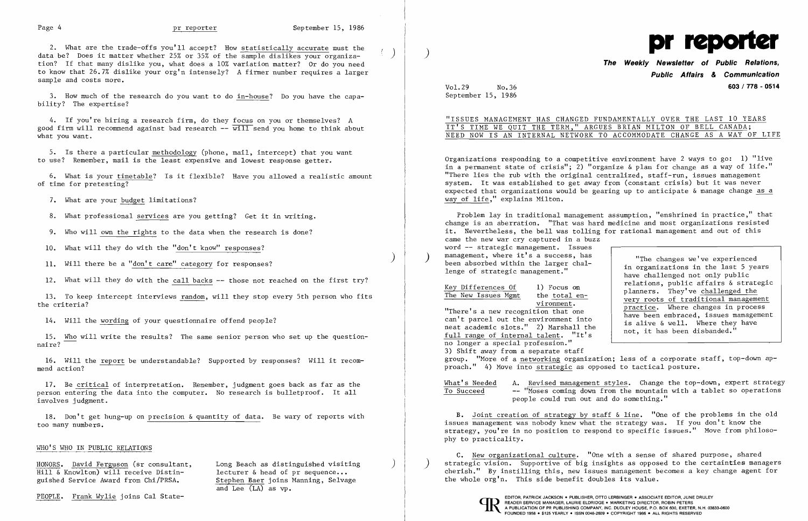2. What are the trade-offs you'll accept? How statistically accurate must the data be? Does it matter whether 25% or 35% of the sample dislikes your organization? If that many dislike you, what does a 10% variation matter? Or do you need to know that 26.7% dislike your org'n intensely? A firmer number requires a larger sample and costs more.

6. What is your timetable? Is it flexible? Have you allowed a realistic amount of time for pretesting?

7. What are your budget limitations?

3. How much of the research do you want to do in-house? Do you have the capability? The expertise?

4. If you're hiring a research firm, do they focus on you or themselves? A good firm will recommend against bad research  $-\overline{w}i\overline{1}\overline{1}$  send you home to think about what you want.

5. Is there a particular methodology (phone, mail, intercept) that you want to use? Remember, mail is the least expensive and lowest response getter.

8. What professional services are you getting? Get it in writing.

9. Who will own the rights to the data when the research is done?

10. What will they do with the "don't know" responses?

) 11. Will there be a "don't care" category for responses?

12. What will they do with the call backs -- those not reached on the first try?

13. To keep intercept interviews random, will they stop every 5th person who fits the criteria?

14. Will the wording of your questionnaire offend people?

15. <u>Who</u> will write the results? The same senior person who set up the question<br>naire?

16. Will the report be understandable? Supported by responses? Will it recommend action?

17. Be critical of interpretation. Remember, judgment goes back as far as the person entering the data into the computer. No research is bulletproof. It all involves judgment.

Key Differences Of 1) Focus on The New Issues Mgmt the total environment.

18. Don't get hung-up on precision & quantity of data. Be wary of reports with too many numbers.

### WHO'S WHO IN PUBLIC RELATIONS

 $HOMORS.$  David Ferguson (sr consultant, Long Beach as distinguished visiting  $Hill &$  Knowlton) will receive Distin-<br> $Hill &$  Knowlton) will receive Distin-<br> $Hill &$  Rnowlton) will receive Distin-Hill & Knowlton) will receive Distinguished Service Award from Chi/PRSA. Stephen Baer joins Manning, Selvage

PEOPLE. Frank Wylie joins Cal State- EDITOR, PATRICK JACKSON. PUBLISHER, OTTO LERBINGER • ASSOCIATE EDITOR, JUNE DRULEY

and Lee (LA) as vp.



What's Needed A. Revised management styles. Change the top-down, expert strategy To Succeed "Moses coming down from the mountain with a tablet so operations people could run out and do something."

## **The Weekly Newsletter of Public Relations, Public Affairs & Communication**  Vol.29 No.36 **603 / 778 - 0514**

September 15, 1986

"ISSUES MANAGEMENT HAS CHANGED FUNDAMENTALLY OVER THE LAST 10 YEARS IT'S TIME WE QUIT THE TERM," ARGUES BRIAN MILTON OF BELL CANADA; NEED NOW IS AN INTERNAL NETWORK TO ACCOMMODATE CHANGE AS A WAY OF LIFE

Organizations responding to a competitive environment have 2 ways to go: 1) "live in a permanent state of crisis"; 2) "organize & plan for change as a way of life." "There lies the rub with the original centralized, staff-run, issues management system. It was established to get away from (constant crisis) but it was never expected that organizations would be gearing up to anticipate & manage change as a way of life," explains Milton.

Problem lay in traditional management assumption, "enshrined in practice," that change is an aberration. "That was hard medicine and most organizations resisted it. Nevertheless, the bell was tolling for rational management and out of this came the new war cry captured in a buzz word -- strategic management. Issues management, where it's a success, has<br>been absorbed within the larger challenge of strategic management." "The changes we've experienced in organizations in the last 5 years

"There's a new recognition that one can't parcel out the environment into neat academic slots." 2) Marshall the full range of internal talent. "It's no longer a special profession." 3) Shift away from a separate staff have been embraced, issues management is alive & well. Where they have not, it has been disbanded." group. "More of a networking organization; less of a corporate staff, top-down approach." 4) Move into strategic as opposed to tactical posture.

have challenged not only public relations, public affairs & strategic planners. They've challenged the very roots of traditional management practice. Where changes in process

B. Joint creation of strategy by staff & line. "One of the problems in the old issues management was nobody knew what the strategy was. If you don't know the strategy, you're in no position to respond to specific issues." Move from philosophy to practicality.

C. New organizational culture. "One with a sense of shared purpose, shared strategic vision. Supportive of big insights as opposed to the certainties managers cherish." By instilling this, new issues management becomes a key change agent for the whole org'n. This side benefit doubles its value.